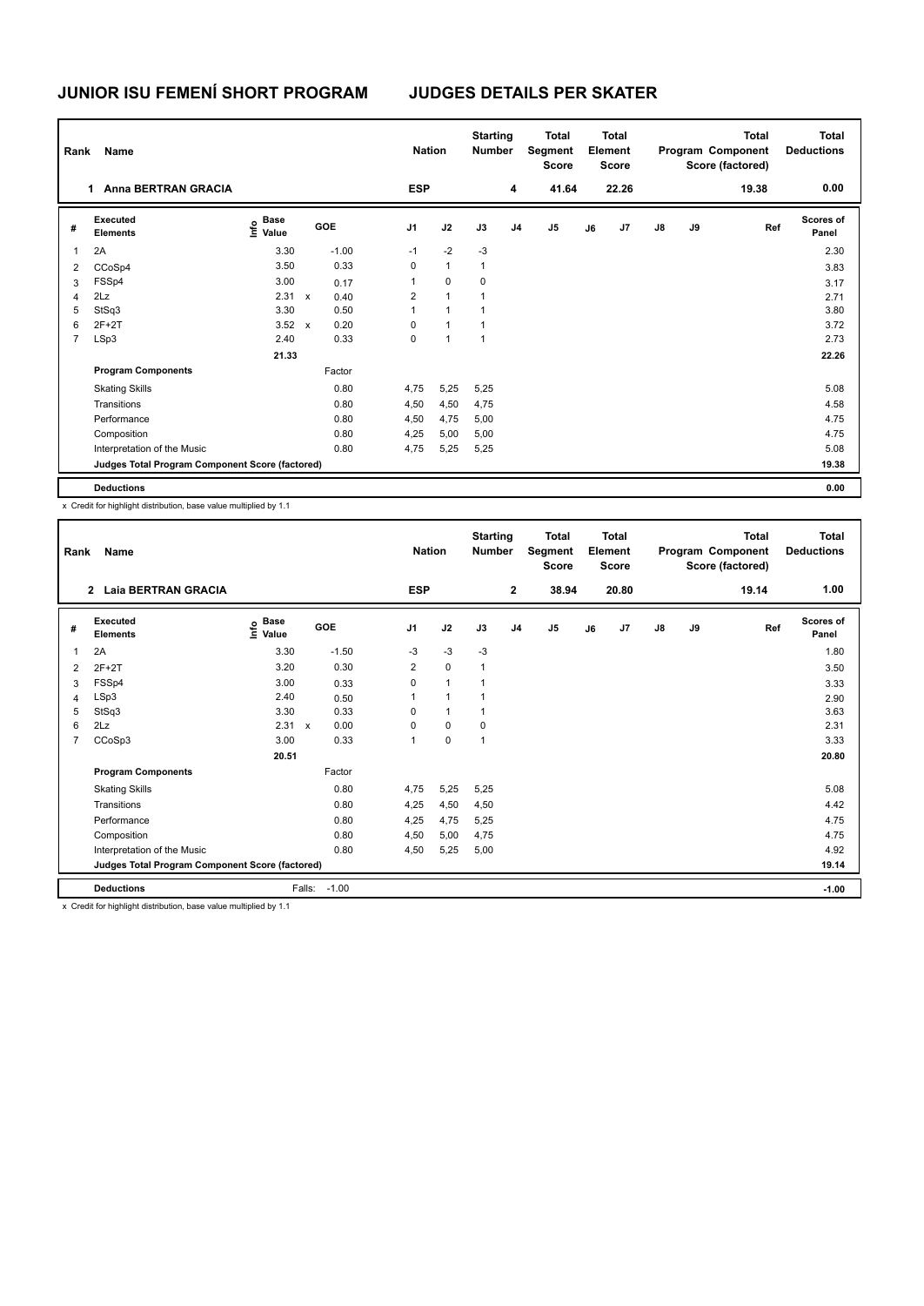# **JUNIOR ISU FEMENÍ SHORT PROGRAM JUDGES DETAILS PER SKATER**

| Rank | Name                                            |                                  |              |         |                | <b>Nation</b>  | <b>Starting</b><br><b>Number</b> |                | <b>Total</b><br>Segment<br><b>Score</b> |    | <b>Total</b><br>Element<br><b>Score</b> |               |    | Total<br>Program Component<br>Score (factored) | <b>Total</b><br><b>Deductions</b> |
|------|-------------------------------------------------|----------------------------------|--------------|---------|----------------|----------------|----------------------------------|----------------|-----------------------------------------|----|-----------------------------------------|---------------|----|------------------------------------------------|-----------------------------------|
|      | <b>Anna BERTRAN GRACIA</b><br>1.                |                                  |              |         | <b>ESP</b>     |                |                                  | 4              | 41.64                                   |    | 22.26                                   |               |    | 19.38                                          | 0.00                              |
| #    | <b>Executed</b><br><b>Elements</b>              | <b>Base</b><br>o Base<br>⊆ Value |              | GOE     | J1             | J2             | J3                               | J <sub>4</sub> | J <sub>5</sub>                          | J6 | J <sub>7</sub>                          | $\mathsf{J}8$ | J9 | Ref                                            | <b>Scores of</b><br>Panel         |
| 1    | 2A                                              | 3.30                             |              | $-1.00$ | $-1$           | $-2$           | $-3$                             |                |                                         |    |                                         |               |    |                                                | 2.30                              |
| 2    | CCoSp4                                          | 3.50                             |              | 0.33    | 0              | $\mathbf{1}$   | $\mathbf{1}$                     |                |                                         |    |                                         |               |    |                                                | 3.83                              |
| 3    | FSSp4                                           | 3.00                             |              | 0.17    | 1              | 0              | 0                                |                |                                         |    |                                         |               |    |                                                | 3.17                              |
| 4    | 2Lz                                             | 2.31 x                           |              | 0.40    | $\overline{2}$ | $\overline{1}$ | 1                                |                |                                         |    |                                         |               |    |                                                | 2.71                              |
| 5    | StSq3                                           | 3.30                             |              | 0.50    | 1              | $\mathbf{1}$   | 1                                |                |                                         |    |                                         |               |    |                                                | 3.80                              |
| 6    | $2F+2T$                                         | 3.52                             | $\mathsf{x}$ | 0.20    | 0              | $\mathbf{1}$   | $\mathbf{1}$                     |                |                                         |    |                                         |               |    |                                                | 3.72                              |
| 7    | LSp3                                            | 2.40                             |              | 0.33    | 0              | 1              | 1                                |                |                                         |    |                                         |               |    |                                                | 2.73                              |
|      |                                                 | 21.33                            |              |         |                |                |                                  |                |                                         |    |                                         |               |    |                                                | 22.26                             |
|      | <b>Program Components</b>                       |                                  |              | Factor  |                |                |                                  |                |                                         |    |                                         |               |    |                                                |                                   |
|      | <b>Skating Skills</b>                           |                                  |              | 0.80    | 4,75           | 5,25           | 5,25                             |                |                                         |    |                                         |               |    |                                                | 5.08                              |
|      | Transitions                                     |                                  |              | 0.80    | 4,50           | 4,50           | 4,75                             |                |                                         |    |                                         |               |    |                                                | 4.58                              |
|      | Performance                                     |                                  |              | 0.80    | 4,50           | 4,75           | 5,00                             |                |                                         |    |                                         |               |    |                                                | 4.75                              |
|      | Composition                                     |                                  |              | 0.80    | 4,25           | 5,00           | 5,00                             |                |                                         |    |                                         |               |    |                                                | 4.75                              |
|      | Interpretation of the Music                     |                                  |              | 0.80    | 4,75           | 5,25           | 5,25                             |                |                                         |    |                                         |               |    |                                                | 5.08                              |
|      | Judges Total Program Component Score (factored) |                                  |              |         |                |                |                                  |                |                                         |    |                                         |               |    |                                                | 19.38                             |
|      | <b>Deductions</b>                               |                                  |              |         |                |                |                                  |                |                                         |    |                                         |               |    |                                                | 0.00                              |

x Credit for highlight distribution, base value multiplied by 1.1

| Rank           | Name                                            |                           |                           |         | <b>Nation</b>  |              | <b>Starting</b><br><b>Number</b> |                | <b>Total</b><br>Segment<br><b>Score</b> |    | <b>Total</b><br>Element<br><b>Score</b> |               |    | <b>Total</b><br>Program Component<br>Score (factored) | <b>Total</b><br><b>Deductions</b> |
|----------------|-------------------------------------------------|---------------------------|---------------------------|---------|----------------|--------------|----------------------------------|----------------|-----------------------------------------|----|-----------------------------------------|---------------|----|-------------------------------------------------------|-----------------------------------|
|                | 2 Laia BERTRAN GRACIA                           |                           |                           |         | <b>ESP</b>     |              |                                  | $\overline{2}$ | 38.94                                   |    | 20.80                                   |               |    | 19.14                                                 | 1.00                              |
| #              | Executed<br><b>Elements</b>                     | Base<br>e Base<br>⊆ Value |                           | GOE     | J <sub>1</sub> | J2           | J3                               | J <sub>4</sub> | J <sub>5</sub>                          | J6 | J <sub>7</sub>                          | $\mathsf{J}8$ | J9 | Ref                                                   | <b>Scores of</b><br>Panel         |
| 1              | 2A                                              | 3.30                      |                           | $-1.50$ | $-3$           | $-3$         | $-3$                             |                |                                         |    |                                         |               |    |                                                       | 1.80                              |
| $\overline{2}$ | $2F+2T$                                         | 3.20                      |                           | 0.30    | $\overline{2}$ | $\mathbf 0$  | $\mathbf{1}$                     |                |                                         |    |                                         |               |    |                                                       | 3.50                              |
| 3              | FSSp4                                           | 3.00                      |                           | 0.33    | 0              | $\mathbf{1}$ | $\mathbf{1}$                     |                |                                         |    |                                         |               |    |                                                       | 3.33                              |
| $\overline{4}$ | LSp3                                            | 2.40                      |                           | 0.50    | 1              | $\mathbf{1}$ | 1                                |                |                                         |    |                                         |               |    |                                                       | 2.90                              |
| 5              | StSq3                                           | 3.30                      |                           | 0.33    | 0              | 1            | 1                                |                |                                         |    |                                         |               |    |                                                       | 3.63                              |
| 6              | 2Lz                                             | 2.31                      | $\boldsymbol{\mathsf{x}}$ | 0.00    | 0              | $\mathbf 0$  | $\mathbf 0$                      |                |                                         |    |                                         |               |    |                                                       | 2.31                              |
| $\overline{7}$ | CCoSp3                                          | 3.00                      |                           | 0.33    | 1              | 0            | 1                                |                |                                         |    |                                         |               |    |                                                       | 3.33                              |
|                |                                                 | 20.51                     |                           |         |                |              |                                  |                |                                         |    |                                         |               |    |                                                       | 20.80                             |
|                | <b>Program Components</b>                       |                           |                           | Factor  |                |              |                                  |                |                                         |    |                                         |               |    |                                                       |                                   |
|                | <b>Skating Skills</b>                           |                           |                           | 0.80    | 4,75           | 5,25         | 5,25                             |                |                                         |    |                                         |               |    |                                                       | 5.08                              |
|                | Transitions                                     |                           |                           | 0.80    | 4,25           | 4,50         | 4,50                             |                |                                         |    |                                         |               |    |                                                       | 4.42                              |
|                | Performance                                     |                           |                           | 0.80    | 4,25           | 4,75         | 5,25                             |                |                                         |    |                                         |               |    |                                                       | 4.75                              |
|                | Composition                                     |                           |                           | 0.80    | 4,50           | 5,00         | 4,75                             |                |                                         |    |                                         |               |    |                                                       | 4.75                              |
|                | Interpretation of the Music                     |                           |                           | 0.80    | 4,50           | 5,25         | 5,00                             |                |                                         |    |                                         |               |    |                                                       | 4.92                              |
|                | Judges Total Program Component Score (factored) |                           |                           |         |                |              |                                  |                |                                         |    |                                         |               |    |                                                       | 19.14                             |
|                | <b>Deductions</b>                               |                           | Falls:                    | $-1.00$ |                |              |                                  |                |                                         |    |                                         |               |    |                                                       | $-1.00$                           |

x Credit for highlight distribution, base value multiplied by 1.1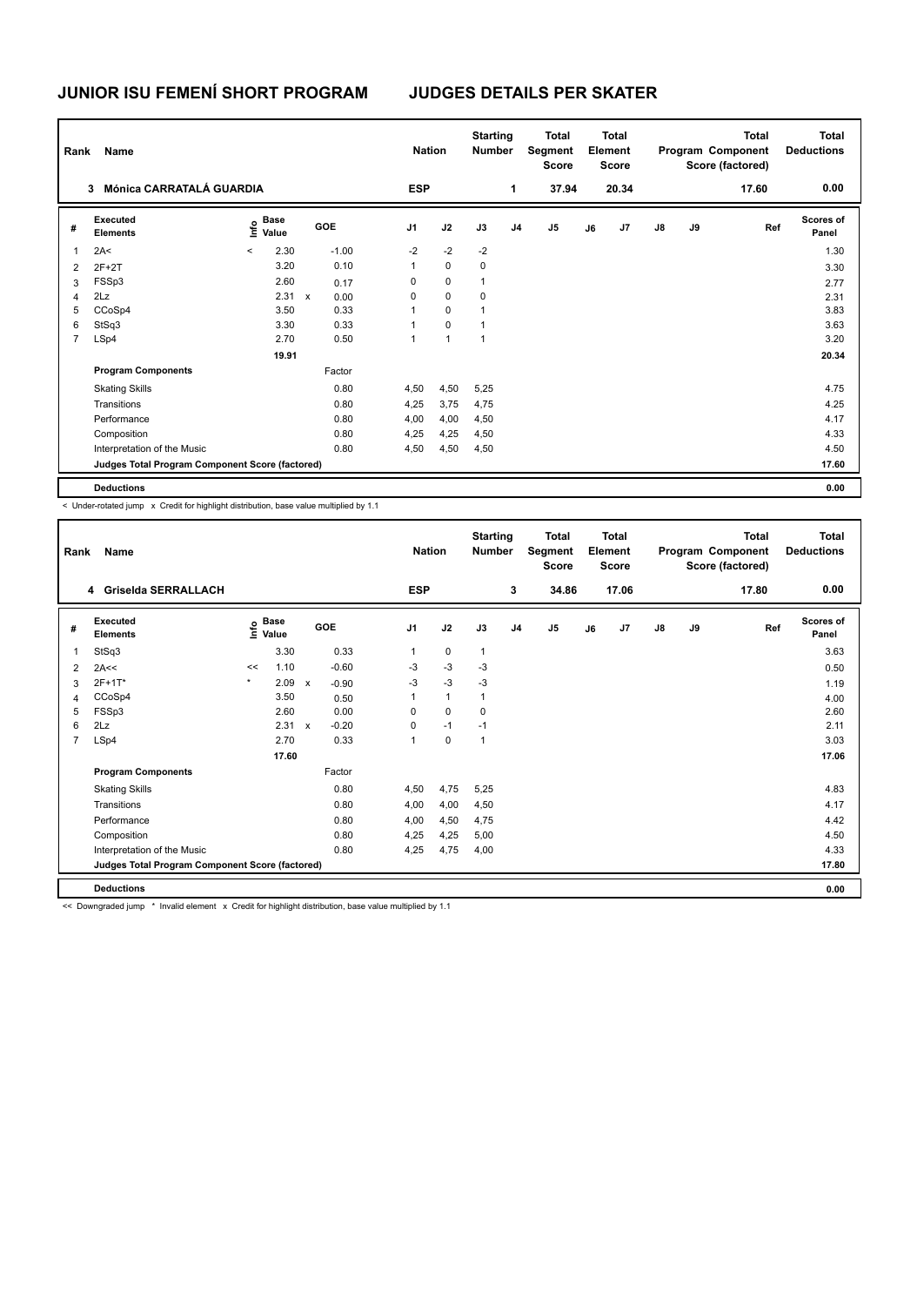# **JUNIOR ISU FEMENÍ SHORT PROGRAM JUDGES DETAILS PER SKATER**

| Rank | Name                                            |                                  | <b>Nation</b>        |                | <b>Starting</b><br><b>Number</b> | <b>Total</b><br>Segment<br><b>Score</b> | <b>Total</b><br>Element<br><b>Score</b> |                | <b>Total</b><br>Program Component<br>Score (factored) |                |               | <b>Total</b><br><b>Deductions</b> |     |                           |
|------|-------------------------------------------------|----------------------------------|----------------------|----------------|----------------------------------|-----------------------------------------|-----------------------------------------|----------------|-------------------------------------------------------|----------------|---------------|-----------------------------------|-----|---------------------------|
|      | Mónica CARRATALÁ GUARDIA<br>3                   | <b>ESP</b>                       |                      |                | 1                                | 37.94                                   |                                         | 20.34          |                                                       |                | 17.60         | 0.00                              |     |                           |
| #    | Executed<br><b>Elements</b>                     | e Base<br>⊆ Value<br>Value       | <b>GOE</b>           | J <sub>1</sub> | J2                               | J3                                      | J4                                      | J <sub>5</sub> | J6                                                    | J <sub>7</sub> | $\mathsf{J}8$ | J9                                | Ref | <b>Scores of</b><br>Panel |
| 1    | 2A<                                             | 2.30<br>$\overline{\phantom{a}}$ | $-1.00$              | $-2$           | $-2$                             | $-2$                                    |                                         |                |                                                       |                |               |                                   |     | 1.30                      |
| 2    | $2F+2T$                                         | 3.20                             | 0.10                 | $\mathbf{1}$   | $\mathbf 0$                      | 0                                       |                                         |                |                                                       |                |               |                                   |     | 3.30                      |
| 3    | FSSp3                                           | 2.60                             | 0.17                 | 0              | $\mathbf 0$                      | 1                                       |                                         |                |                                                       |                |               |                                   |     | 2.77                      |
| 4    | 2Lz                                             | 2.31                             | $\mathsf{x}$<br>0.00 | 0              | $\mathbf 0$                      | 0                                       |                                         |                |                                                       |                |               |                                   |     | 2.31                      |
| 5    | CCoSp4                                          | 3.50                             | 0.33                 | 1              | $\mathbf 0$                      | 1                                       |                                         |                |                                                       |                |               |                                   |     | 3.83                      |
| 6    | StSq3                                           | 3.30                             | 0.33                 | 1              | $\mathbf 0$                      | $\mathbf{1}$                            |                                         |                |                                                       |                |               |                                   |     | 3.63                      |
| 7    | LSp4                                            | 2.70                             | 0.50                 | 1              | $\overline{1}$                   | $\mathbf{1}$                            |                                         |                |                                                       |                |               |                                   |     | 3.20                      |
|      |                                                 | 19.91                            |                      |                |                                  |                                         |                                         |                |                                                       |                |               |                                   |     | 20.34                     |
|      | <b>Program Components</b>                       |                                  | Factor               |                |                                  |                                         |                                         |                |                                                       |                |               |                                   |     |                           |
|      | <b>Skating Skills</b>                           |                                  | 0.80                 | 4,50           | 4,50                             | 5,25                                    |                                         |                |                                                       |                |               |                                   |     | 4.75                      |
|      | Transitions                                     |                                  | 0.80                 | 4,25           | 3,75                             | 4,75                                    |                                         |                |                                                       |                |               |                                   |     | 4.25                      |
|      | Performance                                     |                                  | 0.80                 | 4,00           | 4,00                             | 4,50                                    |                                         |                |                                                       |                |               |                                   |     | 4.17                      |
|      | Composition                                     |                                  | 0.80                 | 4,25           | 4,25                             | 4,50                                    |                                         |                |                                                       |                |               |                                   |     | 4.33                      |
|      | Interpretation of the Music                     |                                  | 0.80                 | 4,50           | 4,50                             | 4,50                                    |                                         |                |                                                       |                |               |                                   |     | 4.50                      |
|      | Judges Total Program Component Score (factored) |                                  |                      |                |                                  |                                         |                                         |                |                                                       |                |               |                                   |     | 17.60                     |
|      | <b>Deductions</b>                               |                                  |                      |                |                                  |                                         |                                         |                |                                                       |                |               |                                   |     | 0.00                      |

< Under-rotated jump x Credit for highlight distribution, base value multiplied by 1.1

| Rank           | Name                                            |         |                                  |                           |         |                | <b>Nation</b> | <b>Starting</b><br><b>Number</b> |                | <b>Total</b><br>Segment<br><b>Score</b> |    | <b>Total</b><br>Element<br>Score |               |    | <b>Total</b><br>Program Component<br>Score (factored) | <b>Total</b><br><b>Deductions</b> |
|----------------|-------------------------------------------------|---------|----------------------------------|---------------------------|---------|----------------|---------------|----------------------------------|----------------|-----------------------------------------|----|----------------------------------|---------------|----|-------------------------------------------------------|-----------------------------------|
|                | 4 Griselda SERRALLACH                           |         |                                  |                           |         | <b>ESP</b>     |               |                                  | 3              | 34.86                                   |    | 17.06                            |               |    | 17.80                                                 | 0.00                              |
| #              | Executed<br><b>Elements</b>                     |         | <b>Base</b><br>e Base<br>⊆ Value |                           | GOE     | J <sub>1</sub> | J2            | J3                               | J <sub>4</sub> | J <sub>5</sub>                          | J6 | J7                               | $\mathsf{J}8$ | J9 | Ref                                                   | <b>Scores of</b><br>Panel         |
| 1              | StSq3                                           |         | 3.30                             |                           | 0.33    | 1              | $\mathbf 0$   | $\mathbf{1}$                     |                |                                         |    |                                  |               |    |                                                       | 3.63                              |
| $\overline{2}$ | 2A<<                                            | <<      | 1.10                             |                           | $-0.60$ | $-3$           | $-3$          | $-3$                             |                |                                         |    |                                  |               |    |                                                       | 0.50                              |
| 3              | 2F+1T*                                          | $\star$ | 2.09                             | $\boldsymbol{\mathsf{x}}$ | $-0.90$ | -3             | $-3$          | $-3$                             |                |                                         |    |                                  |               |    |                                                       | 1.19                              |
| 4              | CCoSp4                                          |         | 3.50                             |                           | 0.50    | 1              | $\mathbf{1}$  | 1                                |                |                                         |    |                                  |               |    |                                                       | 4.00                              |
| 5              | FSSp3                                           |         | 2.60                             |                           | 0.00    | $\Omega$       | $\Omega$      | 0                                |                |                                         |    |                                  |               |    |                                                       | 2.60                              |
| 6              | 2Lz                                             |         | 2.31                             | $\boldsymbol{\mathsf{x}}$ | $-0.20$ | 0              | $-1$          | $-1$                             |                |                                         |    |                                  |               |    |                                                       | 2.11                              |
| $\overline{7}$ | LSp4                                            |         | 2.70                             |                           | 0.33    | 1              | $\mathbf 0$   | $\overline{1}$                   |                |                                         |    |                                  |               |    |                                                       | 3.03                              |
|                |                                                 |         | 17.60                            |                           |         |                |               |                                  |                |                                         |    |                                  |               |    |                                                       | 17.06                             |
|                | <b>Program Components</b>                       |         |                                  |                           | Factor  |                |               |                                  |                |                                         |    |                                  |               |    |                                                       |                                   |
|                | <b>Skating Skills</b>                           |         |                                  |                           | 0.80    | 4,50           | 4,75          | 5,25                             |                |                                         |    |                                  |               |    |                                                       | 4.83                              |
|                | Transitions                                     |         |                                  |                           | 0.80    | 4,00           | 4,00          | 4,50                             |                |                                         |    |                                  |               |    |                                                       | 4.17                              |
|                | Performance                                     |         |                                  |                           | 0.80    | 4,00           | 4,50          | 4,75                             |                |                                         |    |                                  |               |    |                                                       | 4.42                              |
|                | Composition                                     |         |                                  |                           | 0.80    | 4,25           | 4,25          | 5,00                             |                |                                         |    |                                  |               |    |                                                       | 4.50                              |
|                | Interpretation of the Music                     |         |                                  |                           | 0.80    | 4.25           | 4,75          | 4,00                             |                |                                         |    |                                  |               |    |                                                       | 4.33                              |
|                | Judges Total Program Component Score (factored) |         |                                  |                           |         |                |               |                                  |                |                                         |    |                                  |               |    |                                                       | 17.80                             |
|                | <b>Deductions</b>                               |         |                                  |                           |         |                |               |                                  |                |                                         |    |                                  |               |    |                                                       | 0.00                              |

<< Downgraded jump \* Invalid element x Credit for highlight distribution, base value multiplied by 1.1